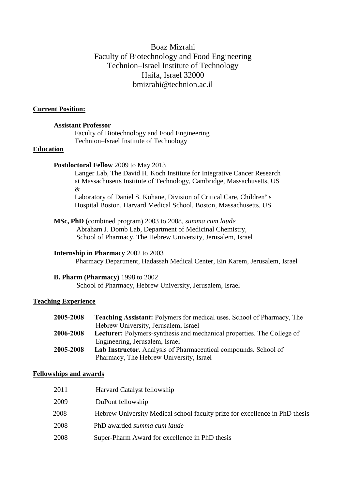# Boaz Mizrahi Faculty of Biotechnology and Food Engineering Technion–Israel Institute of Technology Haifa, Israel 32000 bmizrahi@technion.ac.il

#### **Current Position:**

#### **Assistant Professor**

Faculty of Biotechnology and Food Engineering Technion–Israel Institute of Technology

# **Education**

#### **Postdoctoral Fellow** 2009 to May 2013

Langer Lab, The David H. Koch Institute for Integrative Cancer Research at Massachusetts Institute of Technology, Cambridge, Massachusetts, US &

Laboratory of Daniel S. Kohane, Division of Critical Care, Children**'** s Hospital Boston, Harvard Medical School, Boston, Massachusetts, US

#### **MSc, PhD** (combined program) 2003 to 2008, *summa cum laude*

 Abraham J. Domb Lab, Department of Medicinal Chemistry, School of Pharmacy, The Hebrew University, Jerusalem, Israel

### **Internship in Pharmacy** 2002 to 2003

Pharmacy Department, Hadassah Medical Center, Ein Karem, Jerusalem, Israel

#### **B. Pharm (Pharmacy)** 1998 to 2002

School of Pharmacy, Hebrew University, Jerusalem, Israel

### **Teaching Experience**

| 2005-2008 | <b>Teaching Assistant:</b> Polymers for medical uses. School of Pharmacy, The |
|-----------|-------------------------------------------------------------------------------|
|           | Hebrew University, Jerusalem, Israel                                          |
| 2006-2008 | <b>Lecturer:</b> Polymers-synthesis and mechanical properties. The College of |
|           | Engineering, Jerusalem, Israel                                                |
| 2005-2008 | <b>Lab Instructor.</b> Analysis of Pharmaceutical compounds. School of        |
|           | Pharmacy, The Hebrew University, Israel                                       |

### **Fellowships and awards**

| 2011 | Harvard Catalyst fellowship                                                 |
|------|-----------------------------------------------------------------------------|
| 2009 | DuPont fellowship                                                           |
| 2008 | Hebrew University Medical school faculty prize for excellence in PhD thesis |
| 2008 | PhD awarded summa cum laude                                                 |
| 2008 | Super-Pharm Award for excellence in PhD thesis                              |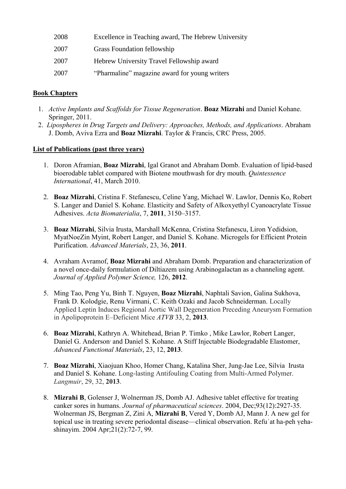| 2008 | Excellence in Teaching award, The Hebrew University |  |
|------|-----------------------------------------------------|--|
|------|-----------------------------------------------------|--|

- 2007 Grass Foundation fellowship
- 2007 Hebrew University Travel Fellowship award
- 2007 "Pharmaline" magazine award for young writers

# **Book Chapters**

- 1. *Active Implants and Scaffolds for Tissue Regeneration*. **Boaz Mizrahi** and Daniel Kohane. Springer, 2011.
- 2. *Lipospheres in Drug Targets and Delivery: Approaches, Methods, and Applications*. Abraham J. Domb, Aviva Ezra and **Boaz Mizrahi**. Taylor & Francis, CRC Press, 2005.

### **List of Publications (past three years)**

- 1. Doron Aframian, **Boaz Mizrahi**, Igal Granot and Abraham Domb. Evaluation of lipid-based bioerodable tablet compared with Biotene mouthwash for dry mouth. *Quintessence International*, 41, March 2010.
- 2. **Boaz Mizrahi**, Cristina F. Stefanescu, Celine Yang, Michael W. Lawlor, Dennis Ko, Robert S. Langer and Daniel S. Kohane. Elasticity and Safety of Alkoxyethyl Cyanoacrylate Tissue Adhesives. *Acta Biomaterialia*, 7, **2011**, 3150–3157.
- 3. **Boaz Mizrahi**, Silvia Irusta, Marshall McKenna, Cristina Stefanescu, Liron Yedidsion, MyatNoeZin Myint, Robert Langer, and Daniel S. Kohane. Microgels for Efficient Protein Purification. *Advanced Materials*, 23, 36, **2011**.
- 4. Avraham Avramof, **Boaz Mizrahi** and Abraham Domb. Preparation and characterization of a novel once-daily formulation of Diltiazem using Arabinogalactan as a channeling agent. *Journal of Applied Polymer Science,* 126, **2012**.
- 5. Ming Tao, Peng Yu, Binh T. Nguyen, **Boaz Mizrahi**, Naphtali Savion, Galina Sukhova, Frank D. Kolodgie, Renu Virmani, C. Keith Ozaki and Jacob Schneiderman. Locally Applied Leptin Induces Regional Aortic Wall Degeneration Preceding Aneurysm Formation in Apolipoprotein E–Deficient Mice *ATVB* 33, 2, **2013**.
- 6. **Boaz Mizrahi**, Kathryn A. Whitehead, Brian P. Timko , Mike Lawlor, Robert Langer, Daniel G. Anderson<sup>,</sup> and Daniel S. Kohane. A Stiff Injectable Biodegradable Elastomer, *Advanced Functional Materials*, 23, 12, **2013**.
- 7. **Boaz Mizrahi**, Xiaojuan Khoo, Homer Chang, Katalina Sher, Jung-Jae Lee, Silvia Irusta and Daniel S. Kohane. Long-lasting Antifouling Coating from Multi-Armed Polymer. *Langmuir*, 29, 32, **2013**.
- 8. **Mizrahi B**, Golenser J, Wolnerman JS, Domb AJ. Adhesive tablet effective for treating canker sores in humans. *Journal of pharmaceutical sciences*. 2004, Dec;93(12):2927-35. Wolnerman JS, Bergman Z, Zini A, **Mizrahi B**, Vered Y, Domb AJ, Mann J. A new gel for topical use in treating severe periodontal disease—clinical observation. Refu<sup>'</sup>at ha-peh yehashinayim. 2004 Apr;21(2):72-7, 99.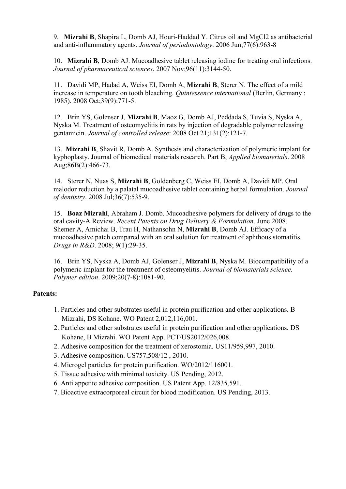9. **Mizrahi B**, Shapira L, Domb AJ, Houri-Haddad Y. Citrus oil and MgCl2 as antibacterial and anti-inflammatory agents. *Journal of periodontology*. 2006 Jun;77(6):963-8

10. **Mizrahi B**, Domb AJ. Mucoadhesive tablet releasing iodine for treating oral infections. *Journal of pharmaceutical sciences*. 2007 Nov;96(11):3144-50.

11. Davidi MP, Hadad A, Weiss EI, Domb A, **Mizrahi B**, Sterer N. The effect of a mild increase in temperature on tooth bleaching. *Quintessence international* (Berlin, Germany : 1985). 2008 Oct;39(9):771-5.

12. Brin YS, Golenser J, **Mizrahi B**, Maoz G, Domb AJ, Peddada S, Tuvia S, Nyska A, Nyska M. Treatment of osteomyelitis in rats by injection of degradable polymer releasing gentamicin. *Journal of controlled release*: 2008 Oct 21;131(2):121-7.

13. **Mizrahi B**, Shavit R, Domb A. Synthesis and characterization of polymeric implant for kyphoplasty. Journal of biomedical materials research. Part B, *Applied biomaterials*. 2008 Aug;86B(2):466-73.

14. Sterer N, Nuas S, **Mizrahi B**, Goldenberg C, Weiss EI, Domb A, Davidi MP. Oral malodor reduction by a palatal mucoadhesive tablet containing herbal formulation. *Journal of dentistry*. 2008 Jul;36(7):535-9.

15. **Boaz Mizrahi**, Abraham J. Domb. Mucoadhesive polymers for delivery of drugs to the oral cavity-A Review. *Recent Patents on Drug Delivery & Formulation*, June 2008. Shemer A, Amichai B, Trau H, Nathansohn N, **Mizrahi B**, Domb AJ. Efficacy of a mucoadhesive patch compared with an oral solution for treatment of aphthous stomatitis. *Drugs in R&D*. 2008; 9(1):29-35.

16. Brin YS, Nyska A, Domb AJ, Golenser J, **Mizrahi B**, Nyska M. Biocompatibility of a polymeric implant for the treatment of osteomyelitis. *Journal of biomaterials science. Polymer edition*. 2009;20(7-8):1081-90.

### **Patents:**

- 1. Particles and other substrates useful in protein purification and other applications. B Mizrahi, DS Kohane. WO Patent 2,012,116,001.
- 2. Particles and other substrates useful in protein purification and other applications. DS Kohane, B Mizrahi. WO Patent App. PCT/US2012/026,008.
- 2. Adhesive composition for the treatment of xerostomia. US11/959,997, 2010.
- 3. Adhesive composition. US757,508/12, 2010.
- 4. Microgel particles for protein purification. WO/2012/116001.
- 5. Tissue adhesive with minimal toxicity. US Pending, 2012.
- 6. Anti appetite adhesive composition. US Patent App. 12/835,591.
- 7. Bioactive extracorporeal circuit for blood modification. US Pending, 2013.